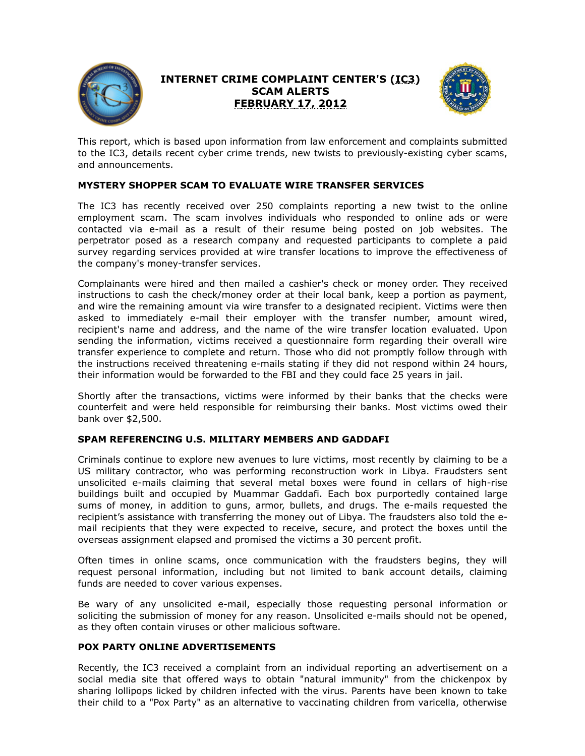

## **INTERNET CRIME COMPLAINT CENTER'S (IC3) SCAM ALERTS FEBRUARY 17, 2012**



This report, which is based upon information from law enforcement and complaints submitted to the IC3, details recent cyber crime trends, new twists to previously-existing cyber scams, and announcements.

## **MYSTERY SHOPPER SCAM TO EVALUATE WIRE TRANSFER SERVICES**

The IC3 has recently received over 250 complaints reporting a new twist to the online employment scam. The scam involves individuals who responded to online ads or were contacted via e-mail as a result of their resume being posted on job websites. The perpetrator posed as a research company and requested participants to complete a paid survey regarding services provided at wire transfer locations to improve the effectiveness of the company's money-transfer services.

Complainants were hired and then mailed a cashier's check or money order. They received instructions to cash the check/money order at their local bank, keep a portion as payment, and wire the remaining amount via wire transfer to a designated recipient. Victims were then asked to immediately e-mail their employer with the transfer number, amount wired, recipient's name and address, and the name of the wire transfer location evaluated. Upon sending the information, victims received a questionnaire form regarding their overall wire transfer experience to complete and return. Those who did not promptly follow through with the instructions received threatening e-mails stating if they did not respond within 24 hours, their information would be forwarded to the FBI and they could face 25 years in jail.

Shortly after the transactions, victims were informed by their banks that the checks were counterfeit and were held responsible for reimbursing their banks. Most victims owed their bank over \$2,500.

## **SPAM REFERENCING U.S. MILITARY MEMBERS AND GADDAFI**

Criminals continue to explore new avenues to lure victims, most recently by claiming to be a US military contractor, who was performing reconstruction work in Libya. Fraudsters sent unsolicited e-mails claiming that several metal boxes were found in cellars of high-rise buildings built and occupied by Muammar Gaddafi. Each box purportedly contained large sums of money, in addition to guns, armor, bullets, and drugs. The e-mails requested the recipient's assistance with transferring the money out of Libya. The fraudsters also told the email recipients that they were expected to receive, secure, and protect the boxes until the overseas assignment elapsed and promised the victims a 30 percent profit.

Often times in online scams, once communication with the fraudsters begins, they will request personal information, including but not limited to bank account details, claiming funds are needed to cover various expenses.

Be wary of any unsolicited e-mail, especially those requesting personal information or soliciting the submission of money for any reason. Unsolicited e-mails should not be opened, as they often contain viruses or other malicious software.

## **POX PARTY ONLINE ADVERTISEMENTS**

Recently, the IC3 received a complaint from an individual reporting an advertisement on a social media site that offered ways to obtain "natural immunity" from the chickenpox by sharing lollipops licked by children infected with the virus. Parents have been known to take their child to a "Pox Party" as an alternative to vaccinating children from varicella, otherwise